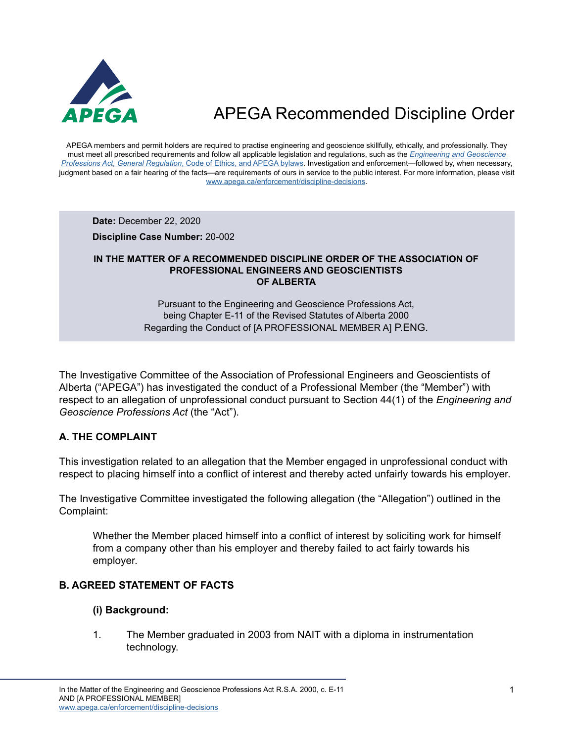

APEGA members and permit holders are required to practise engineering and geoscience skillfully, ethically, and professionally. They must meet all prescribed requirements and follow all applicable legislation and regulations, such as the *[Engineering and Geoscience](https://www.apega.ca/about-apega/publications/engineering-and-geoscience-professions-act)  Professions Act, General Regulation*[, Code of Ethics, and APEGA bylaws.](https://www.apega.ca/about-apega/publications/engineering-and-geoscience-professions-act) Investigation and enforcement—followed by, when necessary, judgment based on a fair hearing of the facts—are requirements of ours in service to the public interest. For more information, please visit [www.apega.ca/enforcement/discipline-decisions.](https://www.apega.ca/enforcement/discipline-decisions)

**Date:** December 22, 2020

**Discipline Case Number:** 20-002

#### **IN THE MATTER OF A RECOMMENDED DISCIPLINE ORDER OF THE ASSOCIATION OF PROFESSIONAL ENGINEERS AND GEOSCIENTISTS OF ALBERTA**

Pursuant to the Engineering and Geoscience Professions Act, being Chapter E-11 of the Revised Statutes of Alberta 2000 Regarding the Conduct of [A PROFESSIONAL MEMBER A] P.ENG.

The Investigative Committee of the Association of Professional Engineers and Geoscientists of Alberta ("APEGA") has investigated the conduct of a Professional Member (the "Member") with respect to an allegation of unprofessional conduct pursuant to Section 44(1) of the *Engineering and Geoscience Professions Act* (the "Act").

### **A. THE COMPLAINT**

This investigation related to an allegation that the Member engaged in unprofessional conduct with respect to placing himself into a conflict of interest and thereby acted unfairly towards his employer.

The Investigative Committee investigated the following allegation (the "Allegation") outlined in the Complaint:

Whether the Member placed himself into a conflict of interest by soliciting work for himself from a company other than his employer and thereby failed to act fairly towards his employer.

#### **B. AGREED STATEMENT OF FACTS**

#### **(i) Background:**

1. The Member graduated in 2003 from NAIT with a diploma in instrumentation technology.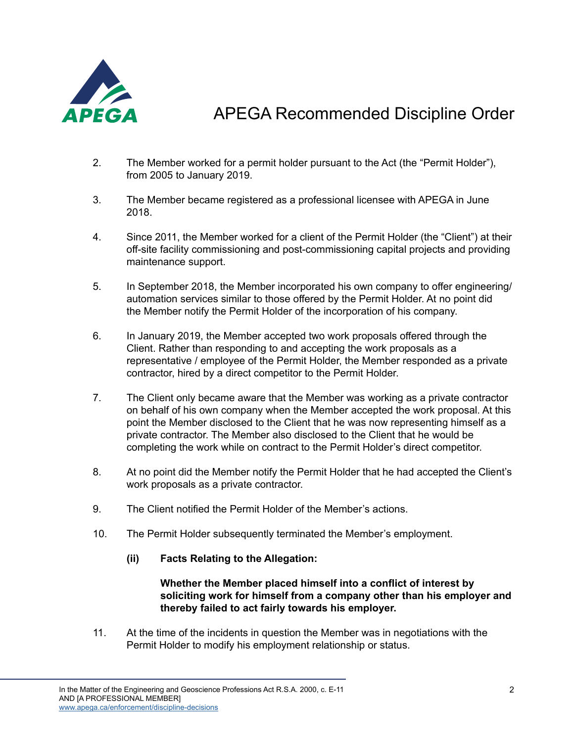

- 2. The Member worked for a permit holder pursuant to the Act (the "Permit Holder"), from 2005 to January 2019.
- 3. The Member became registered as a professional licensee with APEGA in June 2018.
- 4. Since 2011, the Member worked for a client of the Permit Holder (the "Client") at their off-site facility commissioning and post-commissioning capital projects and providing maintenance support.
- 5. In September 2018, the Member incorporated his own company to offer engineering/ automation services similar to those offered by the Permit Holder. At no point did the Member notify the Permit Holder of the incorporation of his company.
- 6. In January 2019, the Member accepted two work proposals offered through the Client. Rather than responding to and accepting the work proposals as a representative / employee of the Permit Holder, the Member responded as a private contractor, hired by a direct competitor to the Permit Holder.
- 7. The Client only became aware that the Member was working as a private contractor on behalf of his own company when the Member accepted the work proposal. At this point the Member disclosed to the Client that he was now representing himself as a private contractor. The Member also disclosed to the Client that he would be completing the work while on contract to the Permit Holder's direct competitor.
- 8. At no point did the Member notify the Permit Holder that he had accepted the Client's work proposals as a private contractor.
- 9. The Client notified the Permit Holder of the Member's actions.
- 10. The Permit Holder subsequently terminated the Member's employment.
	- **(ii) Facts Relating to the Allegation:**

#### **Whether the Member placed himself into a conflict of interest by soliciting work for himself from a company other than his employer and thereby failed to act fairly towards his employer.**

11. At the time of the incidents in question the Member was in negotiations with the Permit Holder to modify his employment relationship or status.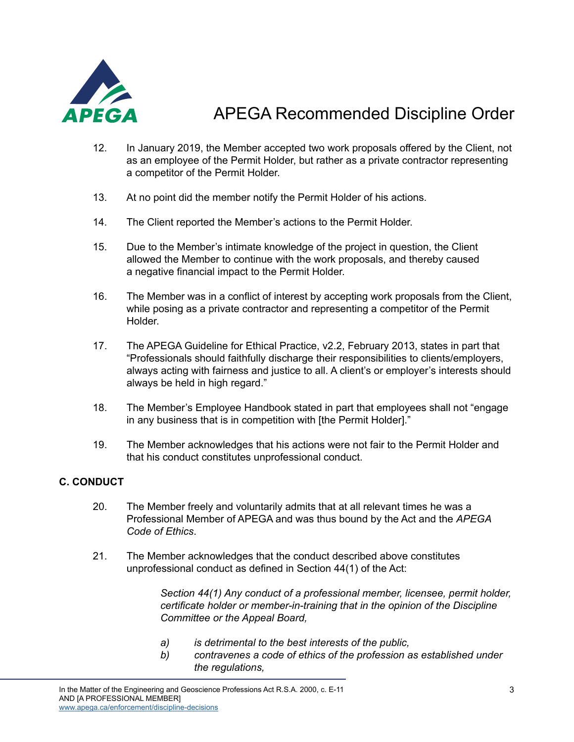

- 12. In January 2019, the Member accepted two work proposals offered by the Client, not as an employee of the Permit Holder, but rather as a private contractor representing a competitor of the Permit Holder.
- 13. At no point did the member notify the Permit Holder of his actions.
- 14. The Client reported the Member's actions to the Permit Holder.
- 15. Due to the Member's intimate knowledge of the project in question, the Client allowed the Member to continue with the work proposals, and thereby caused a negative financial impact to the Permit Holder.
- 16. The Member was in a conflict of interest by accepting work proposals from the Client, while posing as a private contractor and representing a competitor of the Permit Holder.
- 17. The APEGA Guideline for Ethical Practice, v2.2, February 2013, states in part that "Professionals should faithfully discharge their responsibilities to clients/employers, always acting with fairness and justice to all. A client's or employer's interests should always be held in high regard."
- 18. The Member's Employee Handbook stated in part that employees shall not "engage in any business that is in competition with [the Permit Holder]."
- 19. The Member acknowledges that his actions were not fair to the Permit Holder and that his conduct constitutes unprofessional conduct.

### **C. CONDUCT**

- 20. The Member freely and voluntarily admits that at all relevant times he was a Professional Member of APEGA and was thus bound by the Act and the *APEGA Code of Ethics*.
- 21. The Member acknowledges that the conduct described above constitutes unprofessional conduct as defined in Section 44(1) of the Act:

 *Section 44(1) Any conduct of a professional member, licensee, permit holder, certificate holder or member-in-training that in the opinion of the Discipline Committee or the Appeal Board,*

- *a) is detrimental to the best interests of the public,*
- *b) contravenes a code of ethics of the profession as established under the regulations,*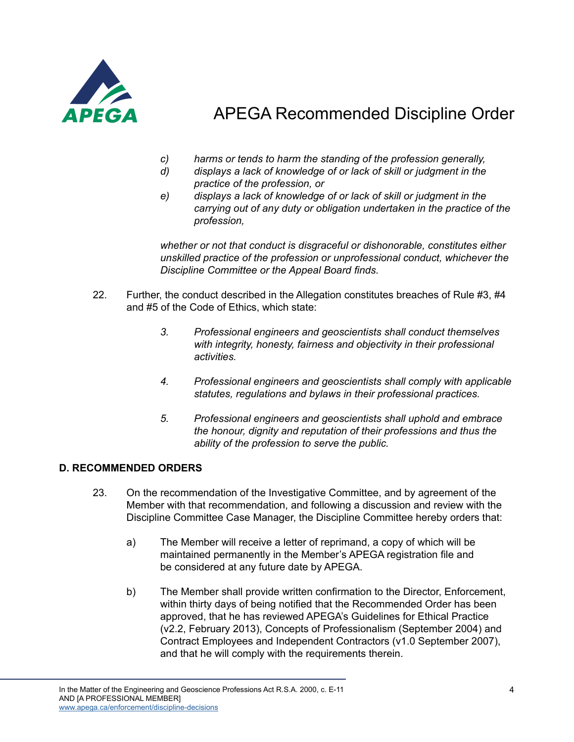

- *c) harms or tends to harm the standing of the profession generally,*
- *d) displays a lack of knowledge of or lack of skill or judgment in the practice of the profession, or*
- *e) displays a lack of knowledge of or lack of skill or judgment in the carrying out of any duty or obligation undertaken in the practice of the profession,*

*whether or not that conduct is disgraceful or dishonorable, constitutes either unskilled practice of the profession or unprofessional conduct, whichever the Discipline Committee or the Appeal Board finds.*

- 22. Further, the conduct described in the Allegation constitutes breaches of Rule  $\#3, \#4$ and #5 of the Code of Ethics, which state:
	- *3. Professional engineers and geoscientists shall conduct themselves with integrity, honesty, fairness and objectivity in their professional activities.*
	- *4. Professional engineers and geoscientists shall comply with applicable statutes, regulations and bylaws in their professional practices.*
	- *5. Professional engineers and geoscientists shall uphold and embrace the honour, dignity and reputation of their professions and thus the ability of the profession to serve the public.*

### **D. RECOMMENDED ORDERS**

- 23. On the recommendation of the Investigative Committee, and by agreement of the Member with that recommendation, and following a discussion and review with the Discipline Committee Case Manager, the Discipline Committee hereby orders that:
	- a) The Member will receive a letter of reprimand, a copy of which will be maintained permanently in the Member's APEGA registration file and be considered at any future date by APEGA.
	- b) The Member shall provide written confirmation to the Director, Enforcement, within thirty days of being notified that the Recommended Order has been approved, that he has reviewed APEGA's Guidelines for Ethical Practice (v2.2, February 2013), Concepts of Professionalism (September 2004) and Contract Employees and Independent Contractors (v1.0 September 2007), and that he will comply with the requirements therein.